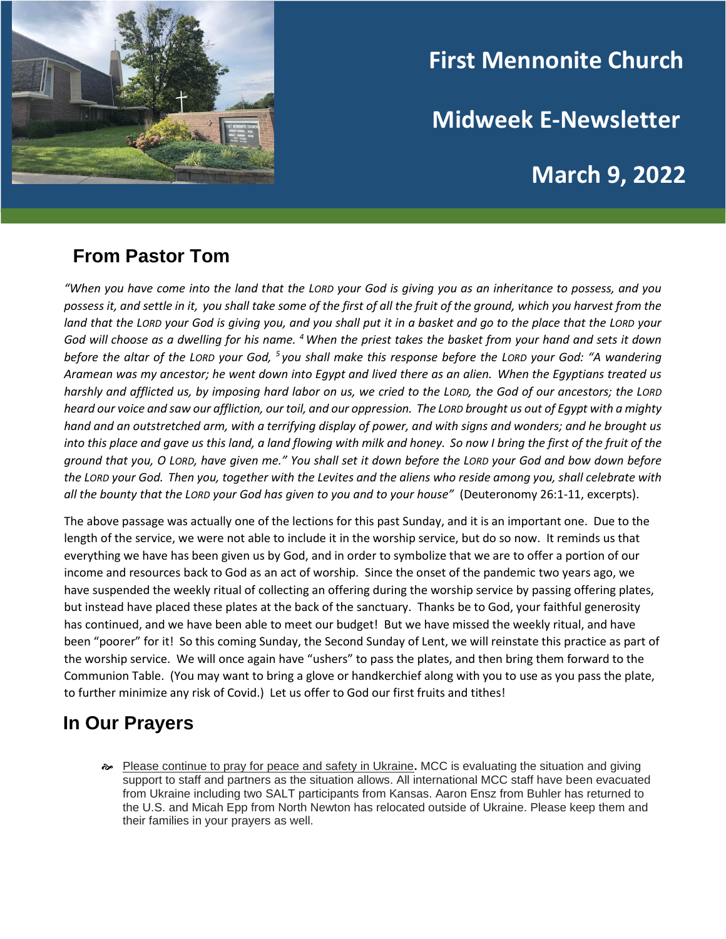

# **First Mennonite Church**

**Midweek E-Newsletter**

## **March 9, 2022**

#### **From Pastor Tom**

*"When you have come into the land that the LORD your God is giving you as an inheritance to possess, and you possess it, and settle in it, you shall take some of the first of all the fruit of the ground, which you harvest from the land that the LORD your God is giving you, and you shall put it in a basket and go to the place that the LORD your God will choose as a dwelling for his name. <sup>4</sup>When the priest takes the basket from your hand and sets it down before the altar of the LORD your God, <sup>5</sup> you shall make this response before the LORD your God: "A wandering Aramean was my ancestor; he went down into Egypt and lived there as an alien. When the Egyptians treated us harshly and afflicted us, by imposing hard labor on us, we cried to the LORD, the God of our ancestors; the LORD heard our voice and saw our affliction, our toil, and our oppression. The LORD brought us out of Egypt with a mighty hand and an outstretched arm, with a terrifying display of power, and with signs and wonders; and he brought us*  into this place and gave us this land, a land flowing with milk and honey. So now I bring the first of the fruit of the *ground that you, O LORD, have given me." You shall set it down before the LORD your God and bow down before the LORD your God. Then you, together with the Levites and the aliens who reside among you, shall celebrate with all the bounty that the LORD your God has given to you and to your house"* (Deuteronomy 26:1-11, excerpts).

The above passage was actually one of the lections for this past Sunday, and it is an important one. Due to the length of the service, we were not able to include it in the worship service, but do so now. It reminds us that everything we have has been given us by God, and in order to symbolize that we are to offer a portion of our income and resources back to God as an act of worship. Since the onset of the pandemic two years ago, we have suspended the weekly ritual of collecting an offering during the worship service by passing offering plates, but instead have placed these plates at the back of the sanctuary. Thanks be to God, your faithful generosity has continued, and we have been able to meet our budget! But we have missed the weekly ritual, and have been "poorer" for it! So this coming Sunday, the Second Sunday of Lent, we will reinstate this practice as part of the worship service. We will once again have "ushers" to pass the plates, and then bring them forward to the Communion Table. (You may want to bring a glove or handkerchief along with you to use as you pass the plate, to further minimize any risk of Covid.) Let us offer to God our first fruits and tithes!

### **In Our Prayers**

 Please continue to pray for peace and safety in Ukraine**.** MCC is evaluating the situation and giving support to staff and partners as the situation allows. All international MCC staff have been evacuated from Ukraine including two SALT participants from Kansas. Aaron Ensz from Buhler has returned to the U.S. and Micah Epp from North Newton has relocated outside of Ukraine. Please keep them and their families in your prayers as well.